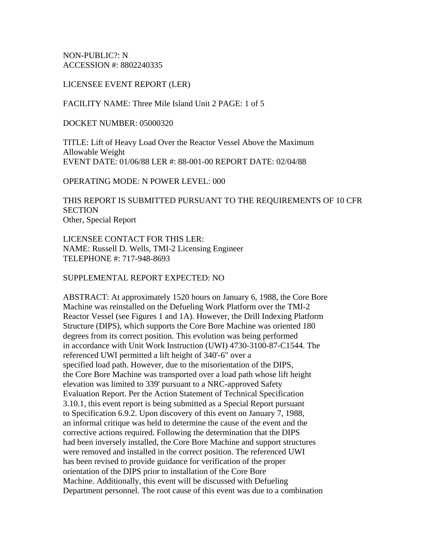NON-PUBLIC?: N ACCESSION #: 8802240335

LICENSEE EVENT REPORT (LER)

FACILITY NAME: Three Mile Island Unit 2 PAGE: 1 of 5

DOCKET NUMBER: 05000320

TITLE: Lift of Heavy Load Over the Reactor Vessel Above the Maximum Allowable Weight EVENT DATE: 01/06/88 LER #: 88-001-00 REPORT DATE: 02/04/88

OPERATING MODE: N POWER LEVEL: 000

THIS REPORT IS SUBMITTED PURSUANT TO THE REQUIREMENTS OF 10 CFR **SECTION** Other, Special Report

LICENSEE CONTACT FOR THIS LER: NAME: Russell D. Wells, TMI-2 Licensing Engineer TELEPHONE #: 717-948-8693

SUPPLEMENTAL REPORT EXPECTED: NO

ABSTRACT: At approximately 1520 hours on January 6, 1988, the Core Bore Machine was reinstalled on the Defueling Work Platform over the TMI-2 Reactor Vessel (see Figures 1 and 1A). However, the Drill Indexing Platform Structure (DIPS), which supports the Core Bore Machine was oriented 180 degrees from its correct position. This evolution was being performed in accordance with Unit Work Instruction (UWI) 4730-3100-87-C1544. The referenced UWI permitted a lift height of 340'-6" over a specified load path. However, due to the misorientation of the DIPS, the Core Bore Machine was transported over a load path whose lift height elevation was limited to 339' pursuant to a NRC-approved Safety Evaluation Report. Per the Action Statement of Technical Specification 3.10.1, this event report is being submitted as a Special Report pursuant to Specification 6.9.2. Upon discovery of this event on January 7, 1988, an informal critique was held to determine the cause of the event and the corrective actions required. Following the determination that the DIPS had been inversely installed, the Core Bore Machine and support structures were removed and installed in the correct position. The referenced UWI has been revised to provide guidance for verification of the proper orientation of the DIPS prior to installation of the Core Bore Machine. Additionally, this event will be discussed with Defueling Department personnel. The root cause of this event was due to a combination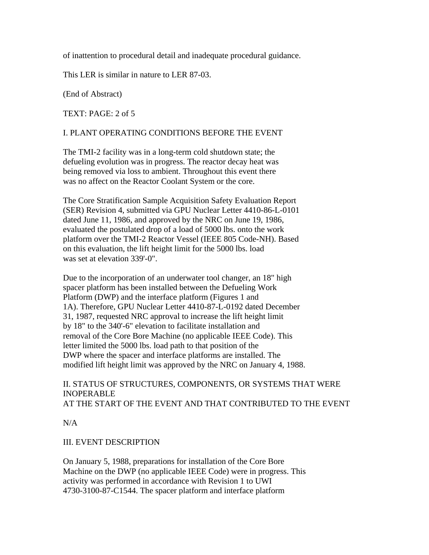of inattention to procedural detail and inadequate procedural guidance.

This LER is similar in nature to LER 87-03.

(End of Abstract)

TEXT: PAGE: 2 of 5

## I. PLANT OPERATING CONDITIONS BEFORE THE EVENT

The TMI-2 facility was in a long-term cold shutdown state; the defueling evolution was in progress. The reactor decay heat was being removed via loss to ambient. Throughout this event there was no affect on the Reactor Coolant System or the core.

The Core Stratification Sample Acquisition Safety Evaluation Report (SER) Revision 4, submitted via GPU Nuclear Letter 4410-86-L-0101 dated June 11, 1986, and approved by the NRC on June 19, 1986, evaluated the postulated drop of a load of 5000 lbs. onto the work platform over the TMI-2 Reactor Vessel (IEEE 805 Code-NH). Based on this evaluation, the lift height limit for the 5000 lbs. load was set at elevation 339'-0".

Due to the incorporation of an underwater tool changer, an 18" high spacer platform has been installed between the Defueling Work Platform (DWP) and the interface platform (Figures 1 and 1A). Therefore, GPU Nuclear Letter 4410-87-L-0192 dated December 31, 1987, requested NRC approval to increase the lift height limit by 18" to the 340'-6" elevation to facilitate installation and removal of the Core Bore Machine (no applicable IEEE Code). This letter limited the 5000 lbs. load path to that position of the DWP where the spacer and interface platforms are installed. The modified lift height limit was approved by the NRC on January 4, 1988.

# II. STATUS OF STRUCTURES, COMPONENTS, OR SYSTEMS THAT WERE INOPERABLE AT THE START OF THE EVENT AND THAT CONTRIBUTED TO THE EVENT

N/A

## III. EVENT DESCRIPTION

On January 5, 1988, preparations for installation of the Core Bore Machine on the DWP (no applicable IEEE Code) were in progress. This activity was performed in accordance with Revision 1 to UWI 4730-3100-87-C1544. The spacer platform and interface platform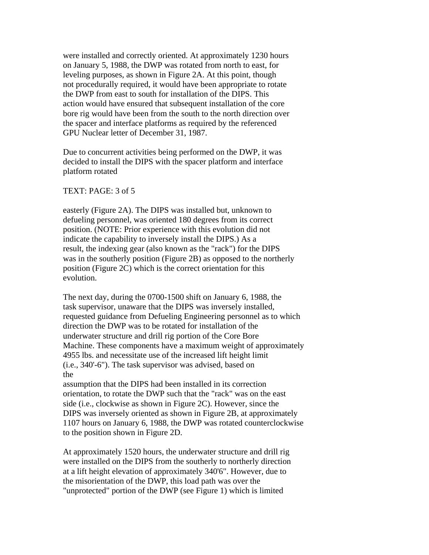were installed and correctly oriented. At approximately 1230 hours on January 5, 1988, the DWP was rotated from north to east, for leveling purposes, as shown in Figure 2A. At this point, though not procedurally required, it would have been appropriate to rotate the DWP from east to south for installation of the DIPS. This action would have ensured that subsequent installation of the core bore rig would have been from the south to the north direction over the spacer and interface platforms as required by the referenced GPU Nuclear letter of December 31, 1987.

Due to concurrent activities being performed on the DWP, it was decided to install the DIPS with the spacer platform and interface platform rotated

#### TEXT: PAGE: 3 of 5

easterly (Figure 2A). The DIPS was installed but, unknown to defueling personnel, was oriented 180 degrees from its correct position. (NOTE: Prior experience with this evolution did not indicate the capability to inversely install the DIPS.) As a result, the indexing gear (also known as the "rack") for the DIPS was in the southerly position (Figure 2B) as opposed to the northerly position (Figure 2C) which is the correct orientation for this evolution.

The next day, during the 0700-1500 shift on January 6, 1988, the task supervisor, unaware that the DIPS was inversely installed, requested guidance from Defueling Engineering personnel as to which direction the DWP was to be rotated for installation of the underwater structure and drill rig portion of the Core Bore Machine. These components have a maximum weight of approximately 4955 lbs. and necessitate use of the increased lift height limit (i.e., 340'-6"). The task supervisor was advised, based on the

assumption that the DIPS had been installed in its correction orientation, to rotate the DWP such that the "rack" was on the east side (i.e., clockwise as shown in Figure 2C). However, since the DIPS was inversely oriented as shown in Figure 2B, at approximately 1107 hours on January 6, 1988, the DWP was rotated counterclockwise to the position shown in Figure 2D.

At approximately 1520 hours, the underwater structure and drill rig were installed on the DIPS from the southerly to northerly direction at a lift height elevation of approximately 340'6". However, due to the misorientation of the DWP, this load path was over the "unprotected" portion of the DWP (see Figure 1) which is limited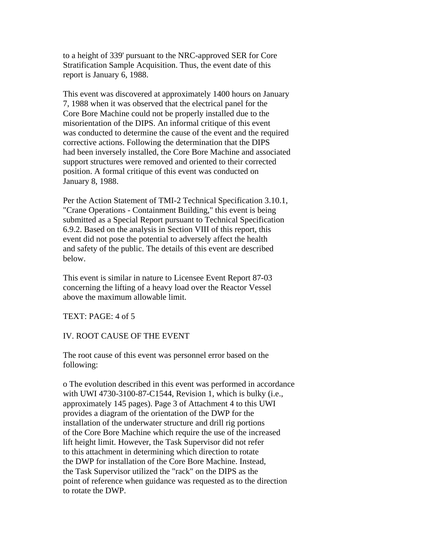to a height of 339' pursuant to the NRC-approved SER for Core Stratification Sample Acquisition. Thus, the event date of this report is January 6, 1988.

This event was discovered at approximately 1400 hours on January 7, 1988 when it was observed that the electrical panel for the Core Bore Machine could not be properly installed due to the misorientation of the DIPS. An informal critique of this event was conducted to determine the cause of the event and the required corrective actions. Following the determination that the DIPS had been inversely installed, the Core Bore Machine and associated support structures were removed and oriented to their corrected position. A formal critique of this event was conducted on January 8, 1988.

Per the Action Statement of TMI-2 Technical Specification 3.10.1, "Crane Operations - Containment Building," this event is being submitted as a Special Report pursuant to Technical Specification 6.9.2. Based on the analysis in Section VIII of this report, this event did not pose the potential to adversely affect the health and safety of the public. The details of this event are described below.

This event is similar in nature to Licensee Event Report 87-03 concerning the lifting of a heavy load over the Reactor Vessel above the maximum allowable limit.

TEXT: PAGE: 4 of 5

## IV. ROOT CAUSE OF THE EVENT

The root cause of this event was personnel error based on the following:

o The evolution described in this event was performed in accordance with UWI 4730-3100-87-C1544, Revision 1, which is bulky (i.e., approximately 145 pages). Page 3 of Attachment 4 to this UWI provides a diagram of the orientation of the DWP for the installation of the underwater structure and drill rig portions of the Core Bore Machine which require the use of the increased lift height limit. However, the Task Supervisor did not refer to this attachment in determining which direction to rotate the DWP for installation of the Core Bore Machine. Instead, the Task Supervisor utilized the "rack" on the DIPS as the point of reference when guidance was requested as to the direction to rotate the DWP.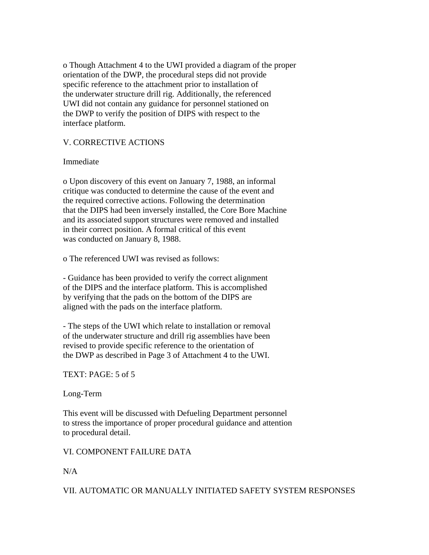o Though Attachment 4 to the UWI provided a diagram of the proper orientation of the DWP, the procedural steps did not provide specific reference to the attachment prior to installation of the underwater structure drill rig. Additionally, the referenced UWI did not contain any guidance for personnel stationed on the DWP to verify the position of DIPS with respect to the interface platform.

# V. CORRECTIVE ACTIONS

## Immediate

o Upon discovery of this event on January 7, 1988, an informal critique was conducted to determine the cause of the event and the required corrective actions. Following the determination that the DIPS had been inversely installed, the Core Bore Machine and its associated support structures were removed and installed in their correct position. A formal critical of this event was conducted on January 8, 1988.

o The referenced UWI was revised as follows:

- Guidance has been provided to verify the correct alignment of the DIPS and the interface platform. This is accomplished by verifying that the pads on the bottom of the DIPS are aligned with the pads on the interface platform.

- The steps of the UWI which relate to installation or removal of the underwater structure and drill rig assemblies have been revised to provide specific reference to the orientation of the DWP as described in Page 3 of Attachment 4 to the UWI.

TEXT: PAGE: 5 of 5

## Long-Term

This event will be discussed with Defueling Department personnel to stress the importance of proper procedural guidance and attention to procedural detail.

VI. COMPONENT FAILURE DATA

## N/A

VII. AUTOMATIC OR MANUALLY INITIATED SAFETY SYSTEM RESPONSES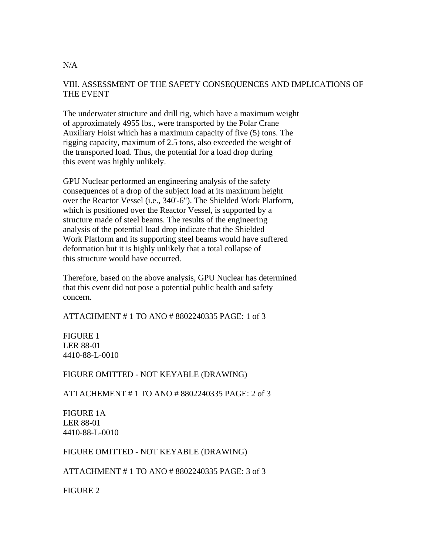## VIII. ASSESSMENT OF THE SAFETY CONSEQUENCES AND IMPLICATIONS OF THE EVENT

The underwater structure and drill rig, which have a maximum weight of approximately 4955 lbs., were transported by the Polar Crane Auxiliary Hoist which has a maximum capacity of five (5) tons. The rigging capacity, maximum of 2.5 tons, also exceeded the weight of the transported load. Thus, the potential for a load drop during this event was highly unlikely.

GPU Nuclear performed an engineering analysis of the safety consequences of a drop of the subject load at its maximum height over the Reactor Vessel (i.e., 340'-6"). The Shielded Work Platform, which is positioned over the Reactor Vessel, is supported by a structure made of steel beams. The results of the engineering analysis of the potential load drop indicate that the Shielded Work Platform and its supporting steel beams would have suffered deformation but it is highly unlikely that a total collapse of this structure would have occurred.

Therefore, based on the above analysis, GPU Nuclear has determined that this event did not pose a potential public health and safety concern.

ATTACHMENT # 1 TO ANO # 8802240335 PAGE: 1 of 3

FIGURE 1 LER 88-01 4410-88-L-0010

FIGURE OMITTED - NOT KEYABLE (DRAWING)

ATTACHEMENT # 1 TO ANO # 8802240335 PAGE: 2 of 3

FIGURE 1A LER 88-01 4410-88-L-0010

## FIGURE OMITTED - NOT KEYABLE (DRAWING)

ATTACHMENT # 1 TO ANO # 8802240335 PAGE: 3 of 3

FIGURE 2

#### $N/A$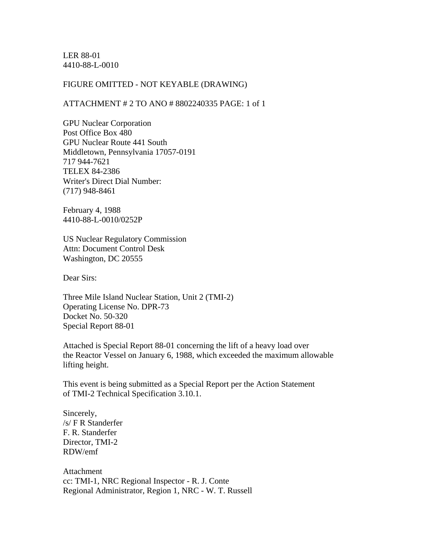LER 88-01 4410-88-L-0010

#### FIGURE OMITTED - NOT KEYABLE (DRAWING)

#### ATTACHMENT # 2 TO ANO # 8802240335 PAGE: 1 of 1

GPU Nuclear Corporation Post Office Box 480 GPU Nuclear Route 441 South Middletown, Pennsylvania 17057-0191 717 944-7621 TELEX 84-2386 Writer's Direct Dial Number: (717) 948-8461

February 4, 1988 4410-88-L-0010/0252P

US Nuclear Regulatory Commission Attn: Document Control Desk Washington, DC 20555

Dear Sirs:

Three Mile Island Nuclear Station, Unit 2 (TMI-2) Operating License No. DPR-73 Docket No. 50-320 Special Report 88-01

Attached is Special Report 88-01 concerning the lift of a heavy load over the Reactor Vessel on January 6, 1988, which exceeded the maximum allowable lifting height.

This event is being submitted as a Special Report per the Action Statement of TMI-2 Technical Specification 3.10.1.

Sincerely, /s/ F R Standerfer F. R. Standerfer Director, TMI-2 RDW/emf

Attachment cc: TMI-1, NRC Regional Inspector - R. J. Conte Regional Administrator, Region 1, NRC - W. T. Russell